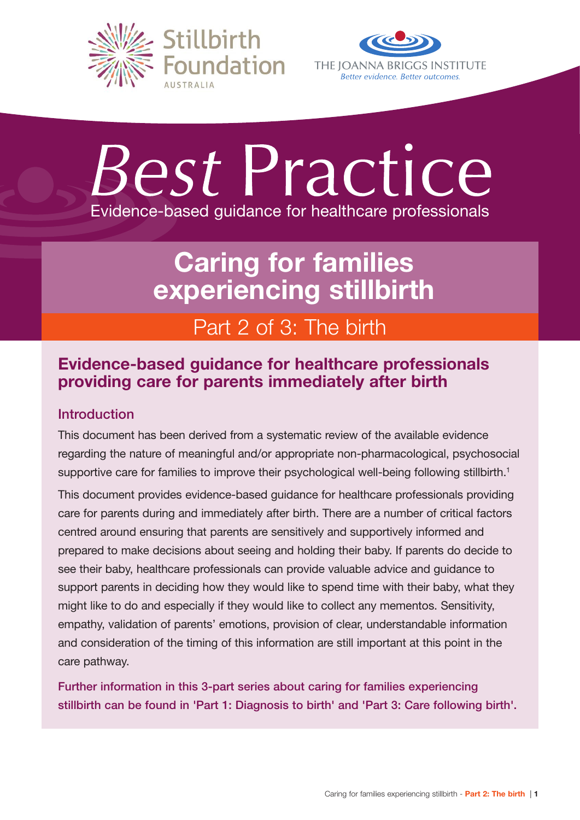



# *Best* Practice Evidence-based guidance for healthcare professionals

# Caring for families experiencing stillbirth

# Part 2 of 3: The birth

# Evidence-based guidance for healthcare professionals providing care for parents immediately after birth

# Introduction

This document has been derived from a systematic review of the available evidence regarding the nature of meaningful and/or appropriate non-pharmacological, psychosocial supportive care for families to improve their psychological well-being following stillbirth.<sup>1</sup>

This document provides evidence-based guidance for healthcare professionals providing care for parents during and immediately after birth. There are a number of critical factors centred around ensuring that parents are sensitively and supportively informed and prepared to make decisions about seeing and holding their baby. If parents do decide to see their baby, healthcare professionals can provide valuable advice and guidance to support parents in deciding how they would like to spend time with their baby, what they might like to do and especially if they would like to collect any mementos. Sensitivity, empathy, validation of parents' emotions, provision of clear, understandable information and consideration of the timing of this information are still important at this point in the care pathway.

Further information in this 3-part series about caring for families experiencing stillbirth can be found in 'Part 1: Diagnosis to birth' and 'Part 3: Care following birth'.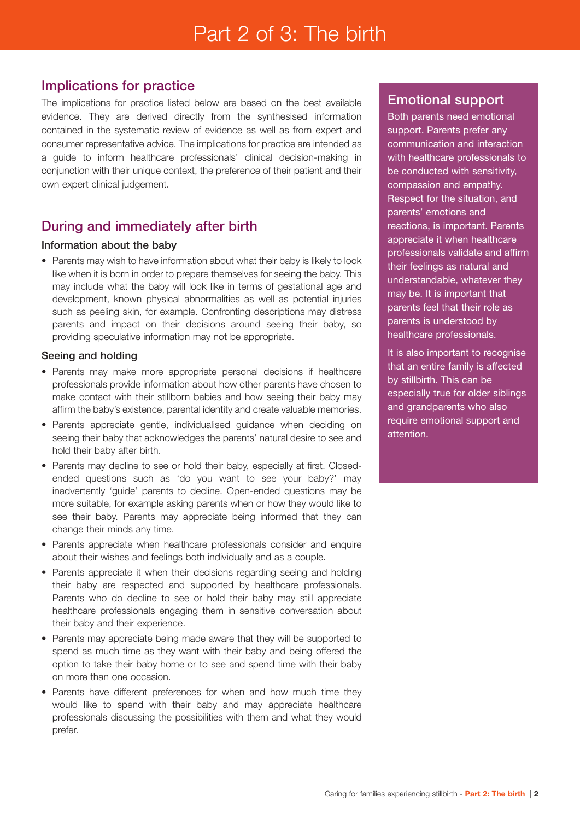# Implications for practice

The implications for practice listed below are based on the best available evidence. They are derived directly from the synthesised information contained in the systematic review of evidence as well as from expert and consumer representative advice. The implications for practice are intended as a guide to inform healthcare professionals' clinical decision-making in conjunction with their unique context, the preference of their patient and their own expert clinical judgement.

# During and immediately after birth

### Information about the baby

• Parents may wish to have information about what their baby is likely to look like when it is born in order to prepare themselves for seeing the baby. This may include what the baby will look like in terms of gestational age and development, known physical abnormalities as well as potential injuries such as peeling skin, for example. Confronting descriptions may distress parents and impact on their decisions around seeing their baby, so providing speculative information may not be appropriate.

### Seeing and holding

- Parents may make more appropriate personal decisions if healthcare professionals provide information about how other parents have chosen to make contact with their stillborn babies and how seeing their baby may affirm the baby's existence, parental identity and create valuable memories.
- Parents appreciate gentle, individualised guidance when deciding on seeing their baby that acknowledges the parents' natural desire to see and hold their baby after birth.
- Parents may decline to see or hold their baby, especially at first. Closedended questions such as 'do you want to see your baby?' may inadvertently 'guide' parents to decline. Open-ended questions may be more suitable, for example asking parents when or how they would like to see their baby. Parents may appreciate being informed that they can change their minds any time.
- Parents appreciate when healthcare professionals consider and enquire about their wishes and feelings both individually and as a couple.
- Parents appreciate it when their decisions regarding seeing and holding their baby are respected and supported by healthcare professionals. Parents who do decline to see or hold their baby may still appreciate healthcare professionals engaging them in sensitive conversation about their baby and their experience.
- Parents may appreciate being made aware that they will be supported to spend as much time as they want with their baby and being offered the option to take their baby home or to see and spend time with their baby on more than one occasion.
- Parents have different preferences for when and how much time they would like to spend with their baby and may appreciate healthcare professionals discussing the possibilities with them and what they would prefer.

### Emotional support

Both parents need emotional support. Parents prefer any communication and interaction with healthcare professionals to be conducted with sensitivity, compassion and empathy. Respect for the situation, and parents' emotions and reactions, is important. Parents appreciate it when healthcare professionals validate and affirm their feelings as natural and understandable, whatever they may be. It is important that parents feel that their role as parents is understood by healthcare professionals.

It is also important to recognise that an entire family is affected by stillbirth. This can be especially true for older siblings and grandparents who also require emotional support and attention.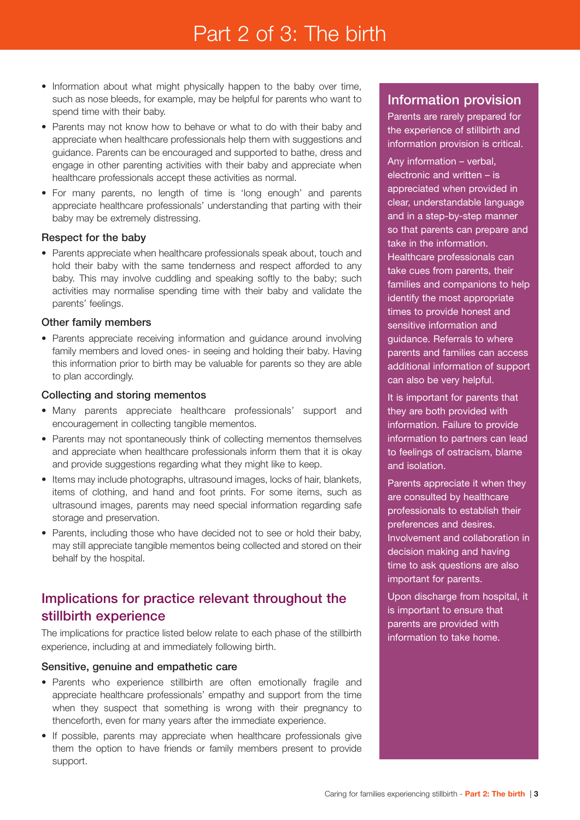# Part 2 of 3: The birth

- Information about what might physically happen to the baby over time, such as nose bleeds, for example, may be helpful for parents who want to spend time with their baby.
- Parents may not know how to behave or what to do with their baby and appreciate when healthcare professionals help them with suggestions and guidance. Parents can be encouraged and supported to bathe, dress and engage in other parenting activities with their baby and appreciate when healthcare professionals accept these activities as normal.
- For many parents, no length of time is 'long enough' and parents appreciate healthcare professionals' understanding that parting with their baby may be extremely distressing.

### Respect for the baby

• Parents appreciate when healthcare professionals speak about, touch and hold their baby with the same tenderness and respect afforded to any baby. This may involve cuddling and speaking softly to the baby; such activities may normalise spending time with their baby and validate the parents' feelings.

### Other family members

• Parents appreciate receiving information and quidance around involving family members and loved ones- in seeing and holding their baby. Having this information prior to birth may be valuable for parents so they are able to plan accordingly.

### Collecting and storing mementos

- Many parents appreciate healthcare professionals' support and encouragement in collecting tangible mementos.
- Parents may not spontaneously think of collecting mementos themselves and appreciate when healthcare professionals inform them that it is okay and provide suggestions regarding what they might like to keep.
- Items may include photographs, ultrasound images, locks of hair, blankets, items of clothing, and hand and foot prints. For some items, such as ultrasound images, parents may need special information regarding safe storage and preservation.
- Parents, including those who have decided not to see or hold their baby, may still appreciate tangible mementos being collected and stored on their behalf by the hospital.

# Implications for practice relevant throughout the stillbirth experience

The implications for practice listed below relate to each phase of the stillbirth experience, including at and immediately following birth.

#### Sensitive, genuine and empathetic care

- Parents who experience stillbirth are often emotionally fragile and appreciate healthcare professionals' empathy and support from the time when they suspect that something is wrong with their pregnancy to thenceforth, even for many years after the immediate experience.
- If possible, parents may appreciate when healthcare professionals give them the option to have friends or family members present to provide support.

### Information provision

Parents are rarely prepared for the experience of stillbirth and information provision is critical.

Any information – verbal, electronic and written – is appreciated when provided in clear, understandable language and in a step-by-step manner so that parents can prepare and take in the information. Healthcare professionals can take cues from parents, their families and companions to help identify the most appropriate times to provide honest and sensitive information and guidance. Referrals to where parents and families can access additional information of support can also be very helpful.

It is important for parents that they are both provided with information. Failure to provide information to partners can lead to feelings of ostracism, blame and isolation.

Parents appreciate it when they are consulted by healthcare professionals to establish their preferences and desires. Involvement and collaboration in decision making and having time to ask questions are also important for parents.

Upon discharge from hospital, it is important to ensure that parents are provided with information to take home.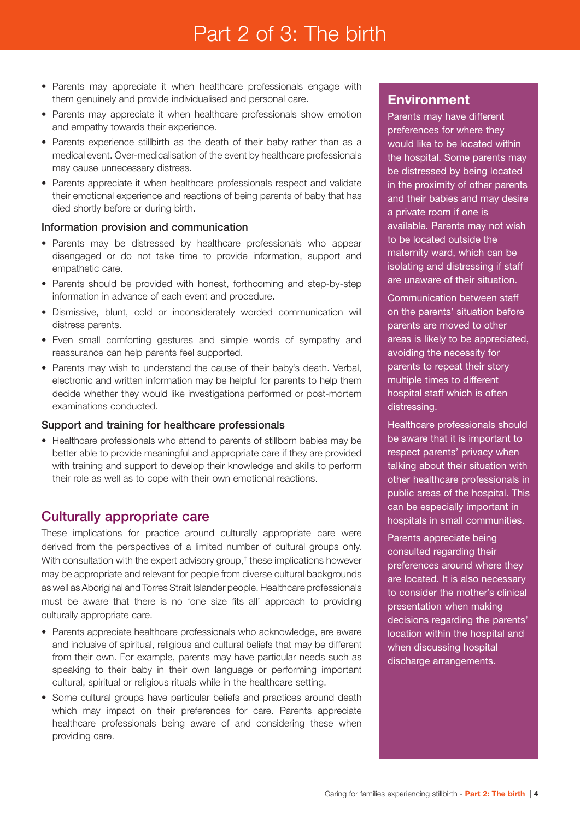# Part 2 of 3: The birth

- Parents may appreciate it when healthcare professionals engage with them genuinely and provide individualised and personal care.
- Parents may appreciate it when healthcare professionals show emotion and empathy towards their experience.
- Parents experience stillbirth as the death of their baby rather than as a medical event. Over-medicalisation of the event by healthcare professionals may cause unnecessary distress.
- Parents appreciate it when healthcare professionals respect and validate their emotional experience and reactions of being parents of baby that has died shortly before or during birth.

### Information provision and communication

- Parents may be distressed by healthcare professionals who appear disengaged or do not take time to provide information, support and empathetic care.
- Parents should be provided with honest, forthcoming and step-by-step information in advance of each event and procedure.
- Dismissive, blunt, cold or inconsiderately worded communication will distress parents.
- Even small comforting gestures and simple words of sympathy and reassurance can help parents feel supported.
- Parents may wish to understand the cause of their baby's death. Verbal, electronic and written information may be helpful for parents to help them decide whether they would like investigations performed or post-mortem examinations conducted.

#### Support and training for healthcare professionals

• Healthcare professionals who attend to parents of stillborn babies may be better able to provide meaningful and appropriate care if they are provided with training and support to develop their knowledge and skills to perform their role as well as to cope with their own emotional reactions.

### Culturally appropriate care

These implications for practice around culturally appropriate care were derived from the perspectives of a limited number of cultural groups only. With consultation with the expert advisory group,<sup>†</sup> these implications however may be appropriate and relevant for people from diverse cultural backgrounds as well as Aboriginal and Torres Strait Islander people. Healthcare professionals must be aware that there is no 'one size fits all' approach to providing culturally appropriate care.

- Parents appreciate healthcare professionals who acknowledge, are aware and inclusive of spiritual, religious and cultural beliefs that may be different from their own. For example, parents may have particular needs such as speaking to their baby in their own language or performing important cultural, spiritual or religious rituals while in the healthcare setting.
- Some cultural groups have particular beliefs and practices around death which may impact on their preferences for care. Parents appreciate healthcare professionals being aware of and considering these when providing care.

# **Environment**

Parents may have different preferences for where they would like to be located within the hospital. Some parents may be distressed by being located in the proximity of other parents and their babies and may desire a private room if one is available. Parents may not wish to be located outside the maternity ward, which can be isolating and distressing if staff are unaware of their situation.

Communication between staff on the parents' situation before parents are moved to other areas is likely to be appreciated, avoiding the necessity for parents to repeat their story multiple times to different hospital staff which is often distressing.

Healthcare professionals should be aware that it is important to respect parents' privacy when talking about their situation with other healthcare professionals in public areas of the hospital. This can be especially important in hospitals in small communities.

Parents appreciate being consulted regarding their preferences around where they are located. It is also necessary to consider the mother's clinical presentation when making decisions regarding the parents' location within the hospital and when discussing hospital discharge arrangements.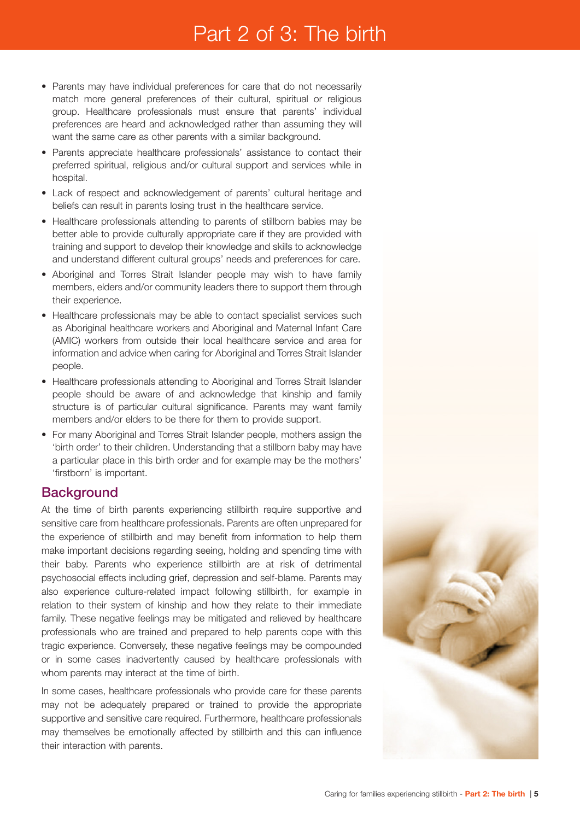# Part 2 of 3: The birth

- Parents may have individual preferences for care that do not necessarily match more general preferences of their cultural, spiritual or religious group. Healthcare professionals must ensure that parents' individual preferences are heard and acknowledged rather than assuming they will want the same care as other parents with a similar background.
- Parents appreciate healthcare professionals' assistance to contact their preferred spiritual, religious and/or cultural support and services while in hospital.
- Lack of respect and acknowledgement of parents' cultural heritage and beliefs can result in parents losing trust in the healthcare service.
- Healthcare professionals attending to parents of stillborn babies may be better able to provide culturally appropriate care if they are provided with training and support to develop their knowledge and skills to acknowledge and understand different cultural groups' needs and preferences for care.
- Aboriginal and Torres Strait Islander people may wish to have family members, elders and/or community leaders there to support them through their experience.
- Healthcare professionals may be able to contact specialist services such as Aboriginal healthcare workers and Aboriginal and Maternal Infant Care (AMIC) workers from outside their local healthcare service and area for information and advice when caring for Aboriginal and Torres Strait Islander people.
- Healthcare professionals attending to Aboriginal and Torres Strait Islander people should be aware of and acknowledge that kinship and family structure is of particular cultural significance. Parents may want family members and/or elders to be there for them to provide support.
- For many Aboriginal and Torres Strait Islander people, mothers assign the 'birth order' to their children. Understanding that a stillborn baby may have a particular place in this birth order and for example may be the mothers' 'firstborn' is important.

# **Background**

At the time of birth parents experiencing stillbirth require supportive and sensitive care from healthcare professionals. Parents are often unprepared for the experience of stillbirth and may benefit from information to help them make important decisions regarding seeing, holding and spending time with their baby. Parents who experience stillbirth are at risk of detrimental psychosocial effects including grief, depression and self-blame. Parents may also experience culture-related impact following stillbirth, for example in relation to their system of kinship and how they relate to their immediate family. These negative feelings may be mitigated and relieved by healthcare professionals who are trained and prepared to help parents cope with this tragic experience. Conversely, these negative feelings may be compounded or in some cases inadvertently caused by healthcare professionals with whom parents may interact at the time of birth.

In some cases, healthcare professionals who provide care for these parents may not be adequately prepared or trained to provide the appropriate supportive and sensitive care required. Furthermore, healthcare professionals may themselves be emotionally affected by stillbirth and this can influence their interaction with parents.

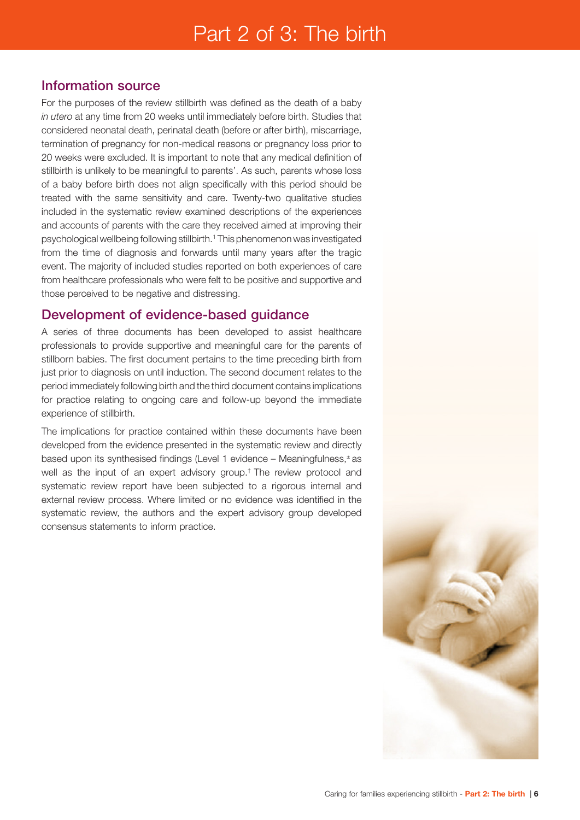## Information source

For the purposes of the review stillbirth was defined as the death of a baby *in utero* at any time from 20 weeks until immediately before birth. Studies that considered neonatal death, perinatal death (before or after birth), miscarriage, termination of pregnancy for non-medical reasons or pregnancy loss prior to 20 weeks were excluded. It is important to note that any medical definition of stillbirth is unlikely to be meaningful to parents'. As such, parents whose loss of a baby before birth does not align specifically with this period should be treated with the same sensitivity and care. Twenty-two qualitative studies included in the systematic review examined descriptions of the experiences and accounts of parents with the care they received aimed at improving their psychological wellbeing following stillbirth.1 This phenomenon was investigated from the time of diagnosis and forwards until many years after the tragic event. The majority of included studies reported on both experiences of care from healthcare professionals who were felt to be positive and supportive and those perceived to be negative and distressing.

# Development of evidence-based guidance

A series of three documents has been developed to assist healthcare professionals to provide supportive and meaningful care for the parents of stillborn babies. The first document pertains to the time preceding birth from just prior to diagnosis on until induction. The second document relates to the period immediately following birth and the third document contains implications for practice relating to ongoing care and follow-up beyond the immediate experience of stillbirth.

The implications for practice contained within these documents have been developed from the evidence presented in the systematic review and directly based upon its synthesised findings (Level 1 evidence – Meaningfulness, ± as well as the input of an expert advisory group.† The review protocol and systematic review report have been subjected to a rigorous internal and external review process. Where limited or no evidence was identified in the systematic review, the authors and the expert advisory group developed consensus statements to inform practice.